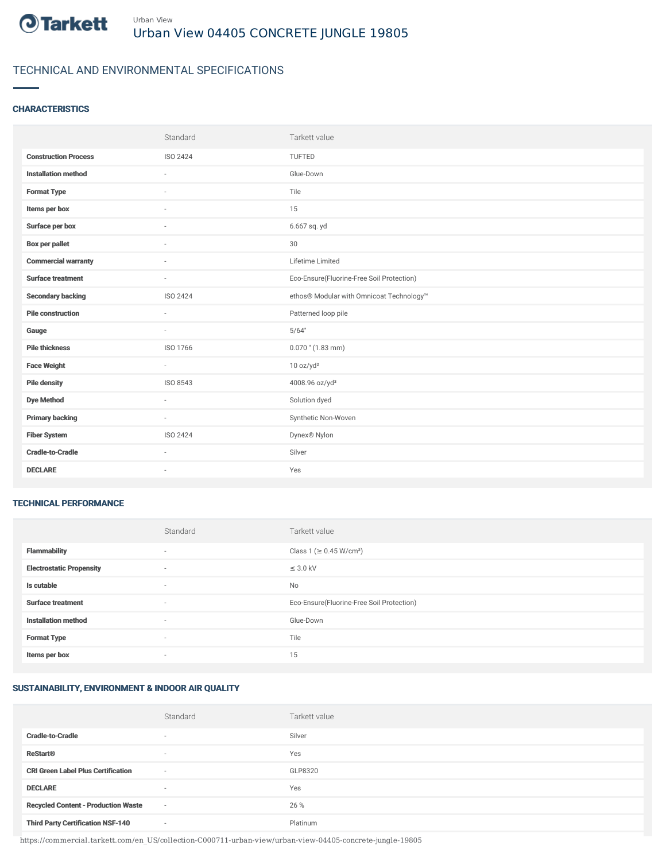

# TECHNICAL AND ENVIRONMENTAL SPECIFICATIONS

### **CHARACTERISTICS**

|                             | Standard | Tarkett value                             |
|-----------------------------|----------|-------------------------------------------|
| <b>Construction Process</b> | ISO 2424 | TUFTED                                    |
| <b>Installation method</b>  | $\sim$   | Glue-Down                                 |
| <b>Format Type</b>          |          | Tile                                      |
| Items per box               |          | 15                                        |
| Surface per box             | $\sim$   | 6.667 sq. yd                              |
| <b>Box per pallet</b>       | ×.       | 30                                        |
| <b>Commercial warranty</b>  | $\sim$   | Lifetime Limited                          |
| <b>Surface treatment</b>    | $\sim$   | Eco-Ensure(Fluorine-Free Soil Protection) |
| <b>Secondary backing</b>    | ISO 2424 | ethos® Modular with Omnicoat Technology™  |
| <b>Pile construction</b>    | $\sim$   | Patterned loop pile                       |
| Gauge                       |          | 5/64"                                     |
| <b>Pile thickness</b>       | ISO 1766 | $0.070$ " (1.83 mm)                       |
| <b>Face Weight</b>          | $\sim$   | 10 oz/yd <sup>2</sup>                     |
| <b>Pile density</b>         | ISO 8543 | 4008.96 oz/yd <sup>3</sup>                |
| <b>Dye Method</b>           | $\sim$   | Solution dyed                             |
| <b>Primary backing</b>      | $\sim$   | Synthetic Non-Woven                       |
| <b>Fiber System</b>         | ISO 2424 | Dynex® Nylon                              |
| <b>Cradle-to-Cradle</b>     | ×.       | Silver                                    |
| <b>DECLARE</b>              | $\sim$   | Yes                                       |

#### TECHNICAL PERFORMANCE

|                                 | Standard | Tarkett value                             |
|---------------------------------|----------|-------------------------------------------|
| <b>Flammability</b>             | $\sim$   | Class 1 (≥ 0.45 W/cm <sup>2</sup> )       |
| <b>Electrostatic Propensity</b> | $\sim$   | $\leq$ 3.0 kV                             |
| Is cutable                      | $\sim$   | No                                        |
| <b>Surface treatment</b>        | $\sim$   | Eco-Ensure(Fluorine-Free Soil Protection) |
| <b>Installation method</b>      | $\sim$   | Glue-Down                                 |
| <b>Format Type</b>              |          | Tile                                      |
| Items per box                   | $\sim$   | 15                                        |

## SUSTAINABILITY, ENVIRONMENT & INDOOR AIR QUALITY

|                                            | Standard                 | Tarkett value |
|--------------------------------------------|--------------------------|---------------|
| <b>Cradle-to-Cradle</b>                    | $\overline{\phantom{a}}$ | Silver        |
| <b>ReStart®</b>                            | $\overline{\phantom{a}}$ | Yes           |
| <b>CRI Green Label Plus Certification</b>  | $\overline{\phantom{a}}$ | GLP8320       |
| <b>DECLARE</b>                             | $\overline{\phantom{a}}$ | Yes           |
| <b>Recycled Content - Production Waste</b> | $\sim$                   | 26 %          |
| <b>Third Party Certification NSF-140</b>   | $\sim$                   | Platinum      |

https://commercial.tarkett.com/en\_US/collection-C000711-urban-view/urban-view-04405-concrete-jungle-19805